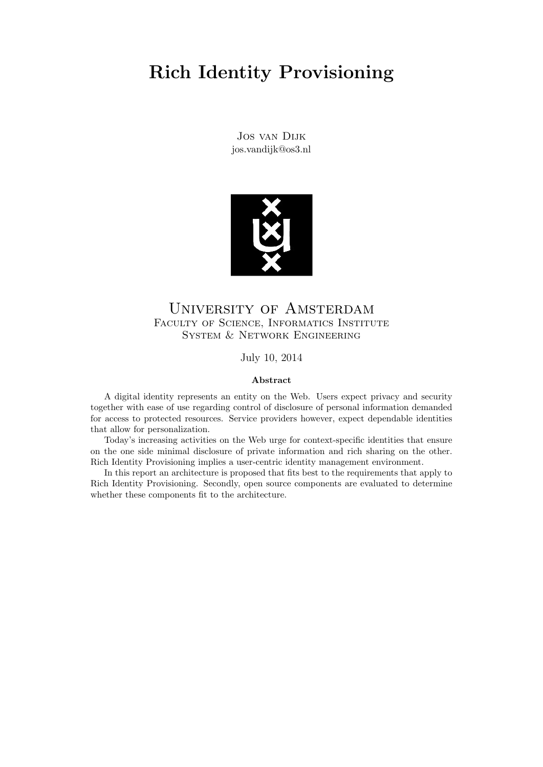# Rich Identity Provisioning

Jos van Dijk jos.vandijk@os3.nl



## University of Amsterdam FACULTY OF SCIENCE, INFORMATICS INSTITUTE System & Network Engineering

July 10, 2014

#### Abstract

A digital identity represents an entity on the Web. Users expect privacy and security together with ease of use regarding control of disclosure of personal information demanded for access to protected resources. Service providers however, expect dependable identities that allow for personalization.

Today's increasing activities on the Web urge for context-specific identities that ensure on the one side minimal disclosure of private information and rich sharing on the other. Rich Identity Provisioning implies a user-centric identity management environment.

In this report an architecture is proposed that fits best to the requirements that apply to Rich Identity Provisioning. Secondly, open source components are evaluated to determine whether these components fit to the architecture.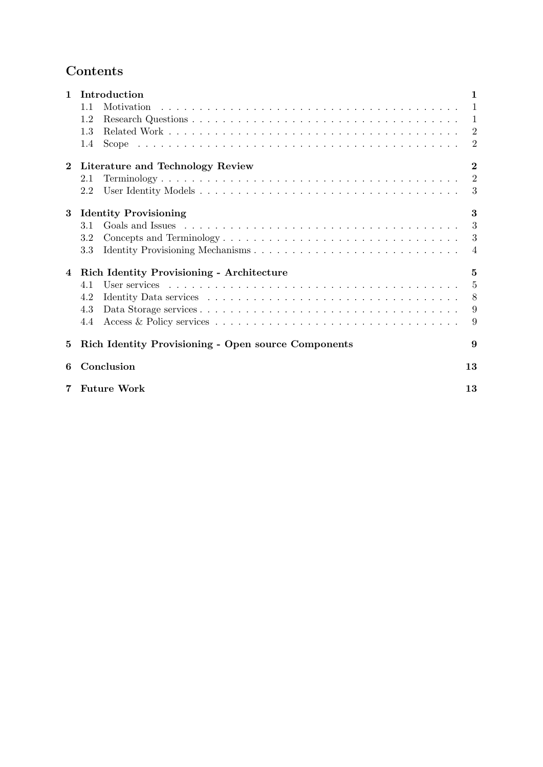## Contents

| $\mathbf{1}$ | Introduction                                        |                |  |  |
|--------------|-----------------------------------------------------|----------------|--|--|
|              | 1.1                                                 | 1              |  |  |
|              | 1.2                                                 | $\mathbf{1}$   |  |  |
|              | 1.3                                                 | $\overline{2}$ |  |  |
|              | 1.4                                                 | $\overline{2}$ |  |  |
| $\bf{2}$     | Literature and Technology Review                    | $\bf{2}$       |  |  |
|              | 2.1                                                 | $\overline{2}$ |  |  |
|              | 2.2                                                 | 3              |  |  |
| $\bf{3}$     | <b>Identity Provisioning</b>                        | 3              |  |  |
|              | 3.1                                                 | 3              |  |  |
|              | 3.2                                                 | 3              |  |  |
|              | 3.3                                                 | 4              |  |  |
| 4            | <b>Rich Identity Provisioning - Architecture</b>    | $\mathbf{5}$   |  |  |
|              | 4.1                                                 | 5              |  |  |
|              | 4.2                                                 | 8              |  |  |
|              | 4.3                                                 | 9              |  |  |
|              | 4.4                                                 | 9              |  |  |
| 5            | Rich Identity Provisioning - Open source Components | 9              |  |  |
| 6            | Conclusion                                          | 13             |  |  |
| 7            | <b>Future Work</b>                                  | 13             |  |  |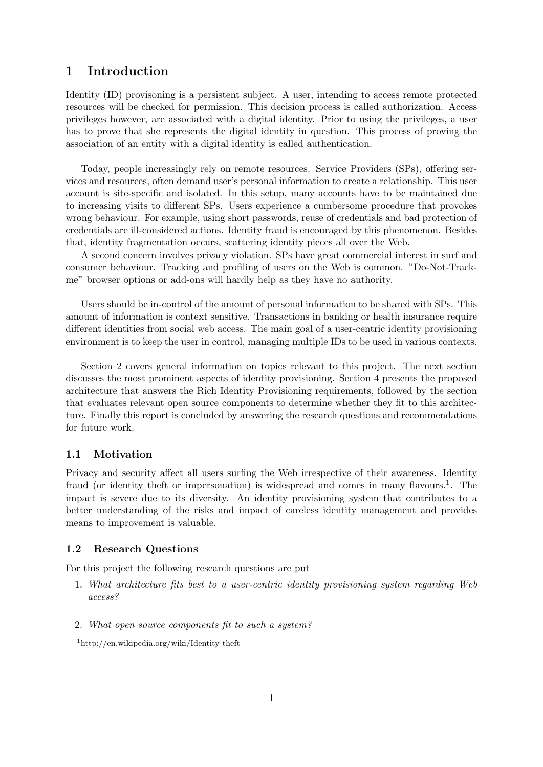## 1 Introduction

Identity (ID) provisoning is a persistent subject. A user, intending to access remote protected resources will be checked for permission. This decision process is called authorization. Access privileges however, are associated with a digital identity. Prior to using the privileges, a user has to prove that she represents the digital identity in question. This process of proving the association of an entity with a digital identity is called authentication.

Today, people increasingly rely on remote resources. Service Providers (SPs), offering services and resources, often demand user's personal information to create a relationship. This user account is site-specific and isolated. In this setup, many accounts have to be maintained due to increasing visits to different SPs. Users experience a cumbersome procedure that provokes wrong behaviour. For example, using short passwords, reuse of credentials and bad protection of credentials are ill-considered actions. Identity fraud is encouraged by this phenomenon. Besides that, identity fragmentation occurs, scattering identity pieces all over the Web.

A second concern involves privacy violation. SPs have great commercial interest in surf and consumer behaviour. Tracking and profiling of users on the Web is common. "Do-Not-Trackme" browser options or add-ons will hardly help as they have no authority.

Users should be in-control of the amount of personal information to be shared with SPs. This amount of information is context sensitive. Transactions in banking or health insurance require different identities from social web access. The main goal of a user-centric identity provisioning environment is to keep the user in control, managing multiple IDs to be used in various contexts.

Section 2 covers general information on topics relevant to this project. The next section discusses the most prominent aspects of identity provisioning. Section 4 presents the proposed architecture that answers the Rich Identity Provisioning requirements, followed by the section that evaluates relevant open source components to determine whether they fit to this architecture. Finally this report is concluded by answering the research questions and recommendations for future work.

#### 1.1 Motivation

Privacy and security affect all users surfing the Web irrespective of their awareness. Identity fraud (or identity theft or impersonation) is widespread and comes in many flavours.<sup>1</sup>. The impact is severe due to its diversity. An identity provisioning system that contributes to a better understanding of the risks and impact of careless identity management and provides means to improvement is valuable.

#### 1.2 Research Questions

For this project the following research questions are put

- 1. What architecture fits best to a user-centric identity provisioning system regarding Web access?
- 2. What open source components fit to such a system?

<sup>1</sup>http://en.wikipedia.org/wiki/Identity theft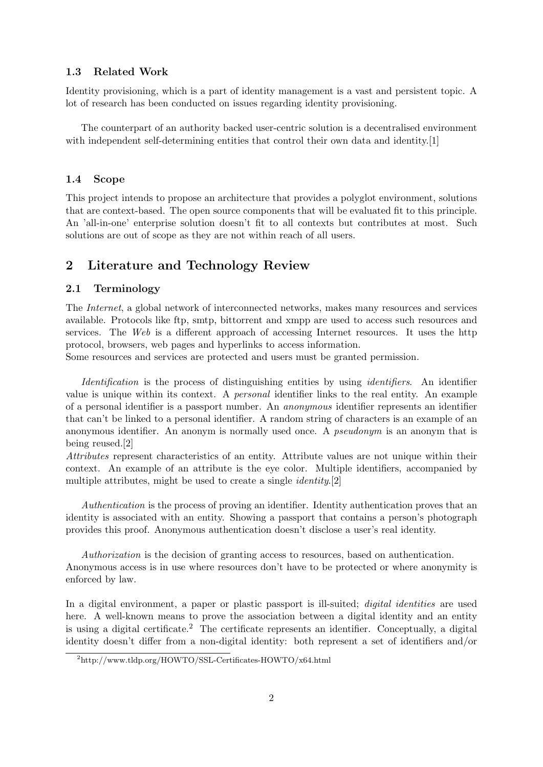#### 1.3 Related Work

Identity provisioning, which is a part of identity management is a vast and persistent topic. A lot of research has been conducted on issues regarding identity provisioning.

The counterpart of an authority backed user-centric solution is a decentralised environment with independent self-determining entities that control their own data and identity.[1]

#### 1.4 Scope

This project intends to propose an architecture that provides a polyglot environment, solutions that are context-based. The open source components that will be evaluated fit to this principle. An 'all-in-one' enterprise solution doesn't fit to all contexts but contributes at most. Such solutions are out of scope as they are not within reach of all users.

## 2 Literature and Technology Review

#### 2.1 Terminology

The Internet, a global network of interconnected networks, makes many resources and services available. Protocols like ftp, smtp, bittorrent and xmpp are used to access such resources and services. The Web is a different approach of accessing Internet resources. It uses the http protocol, browsers, web pages and hyperlinks to access information.

Some resources and services are protected and users must be granted permission.

Identification is the process of distinguishing entities by using *identifiers*. An identifier value is unique within its context. A personal identifier links to the real entity. An example of a personal identifier is a passport number. An anonymous identifier represents an identifier that can't be linked to a personal identifier. A random string of characters is an example of an anonymous identifier. An anonym is normally used once. A pseudonym is an anonym that is being reused.[2]

Attributes represent characteristics of an entity. Attribute values are not unique within their context. An example of an attribute is the eye color. Multiple identifiers, accompanied by multiple attributes, might be used to create a single *identity*.[2]

Authentication is the process of proving an identifier. Identity authentication proves that an identity is associated with an entity. Showing a passport that contains a person's photograph provides this proof. Anonymous authentication doesn't disclose a user's real identity.

Authorization is the decision of granting access to resources, based on authentication. Anonymous access is in use where resources don't have to be protected or where anonymity is enforced by law.

In a digital environment, a paper or plastic passport is ill-suited; *digital identities* are used here. A well-known means to prove the association between a digital identity and an entity is using a digital certificate.<sup>2</sup> The certificate represents an identifier. Conceptually, a digital identity doesn't differ from a non-digital identity: both represent a set of identifiers and/or

<sup>2</sup>http://www.tldp.org/HOWTO/SSL-Certificates-HOWTO/x64.html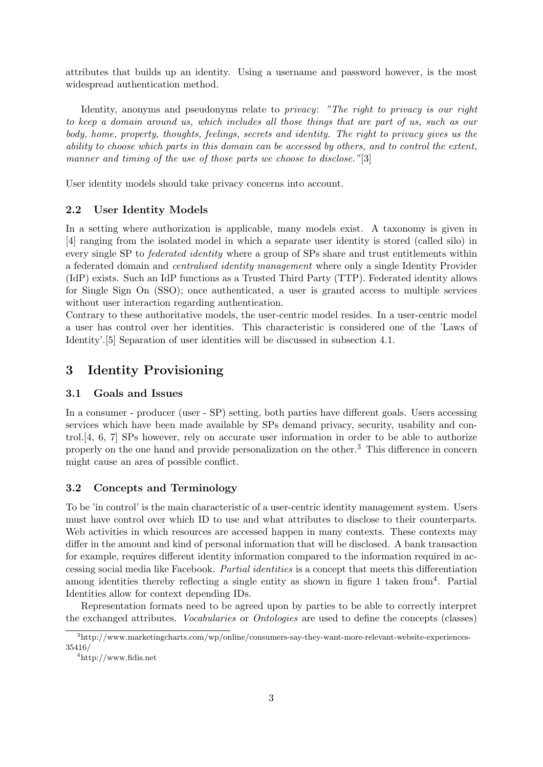attributes that builds up an identity. Using a username and password however, is the most widespread authentication method.

Identity, anonyms and pseudonyms relate to privacy: "The right to privacy is our right to keep a domain around us, which includes all those things that are part of us, such as our body, home, property, thoughts, feelings, secrets and identity. The right to privacy gives us the ability to choose which parts in this domain can be accessed by others, and to control the extent, manner and timing of the use of those parts we choose to disclose."[3]

User identity models should take privacy concerns into account.

#### 2.2 User Identity Models

In a setting where authorization is applicable, many models exist. A taxonomy is given in [4] ranging from the isolated model in which a separate user identity is stored (called silo) in every single SP to federated identity where a group of SPs share and trust entitlements within a federated domain and centralised identity management where only a single Identity Provider (IdP) exists. Such an IdP functions as a Trusted Third Party (TTP). Federated identity allows for Single Sign On (SSO); once authenticated, a user is granted access to multiple services without user interaction regarding authentication.

Contrary to these authoritative models, the user-centric model resides. In a user-centric model a user has control over her identities. This characteristic is considered one of the 'Laws of Identity'.[5] Separation of user identities will be discussed in subsection 4.1.

## 3 Identity Provisioning

#### 3.1 Goals and Issues

In a consumer - producer (user - SP) setting, both parties have different goals. Users accessing services which have been made available by SPs demand privacy, security, usability and control.[4, 6, 7] SPs however, rely on accurate user information in order to be able to authorize properly on the one hand and provide personalization on the other.<sup>3</sup> This difference in concern might cause an area of possible conflict.

#### 3.2 Concepts and Terminology

To be 'in control' is the main characteristic of a user-centric identity management system. Users must have control over which ID to use and what attributes to disclose to their counterparts. Web activities in which resources are accessed happen in many contexts. These contexts may differ in the amount and kind of personal information that will be disclosed. A bank transaction for example, requires different identity information compared to the information required in accessing social media like Facebook. Partial identities is a concept that meets this differentiation among identities thereby reflecting a single entity as shown in figure 1 taken from  $4$ . Partial Identities allow for context depending IDs.

Representation formats need to be agreed upon by parties to be able to correctly interpret the exchanged attributes. Vocabularies or Ontologies are used to define the concepts (classes)

 $3$ http://www.marketingcharts.com/wp/online/consumers-say-they-want-more-relevant-website-experiences-35416/

<sup>4</sup>http://www.fidis.net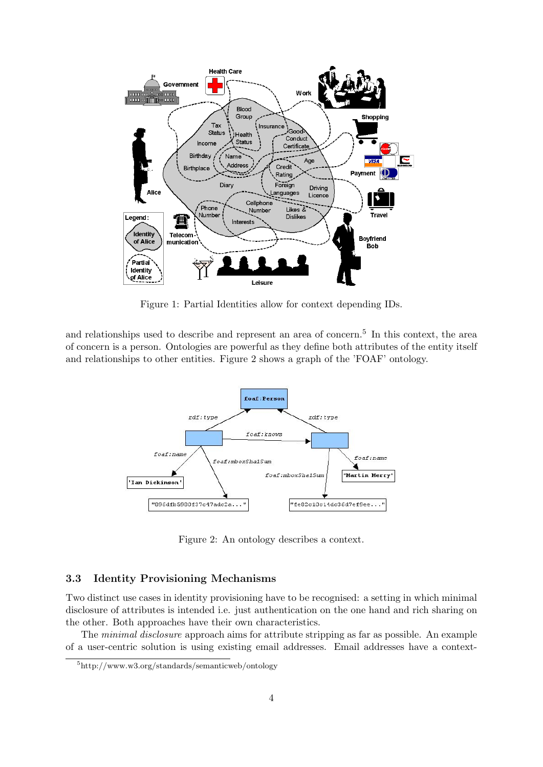

Figure 1: Partial Identities allow for context depending IDs.

and relationships used to describe and represent an area of concern.<sup>5</sup> In this context, the area of concern is a person. Ontologies are powerful as they define both attributes of the entity itself and relationships to other entities. Figure 2 shows a graph of the 'FOAF' ontology.



Figure 2: An ontology describes a context.

#### 3.3 Identity Provisioning Mechanisms

Two distinct use cases in identity provisioning have to be recognised: a setting in which minimal disclosure of attributes is intended i.e. just authentication on the one hand and rich sharing on the other. Both approaches have their own characteristics.

The minimal disclosure approach aims for attribute stripping as far as possible. An example of a user-centric solution is using existing email addresses. Email addresses have a context-

<sup>5</sup>http://www.w3.org/standards/semanticweb/ontology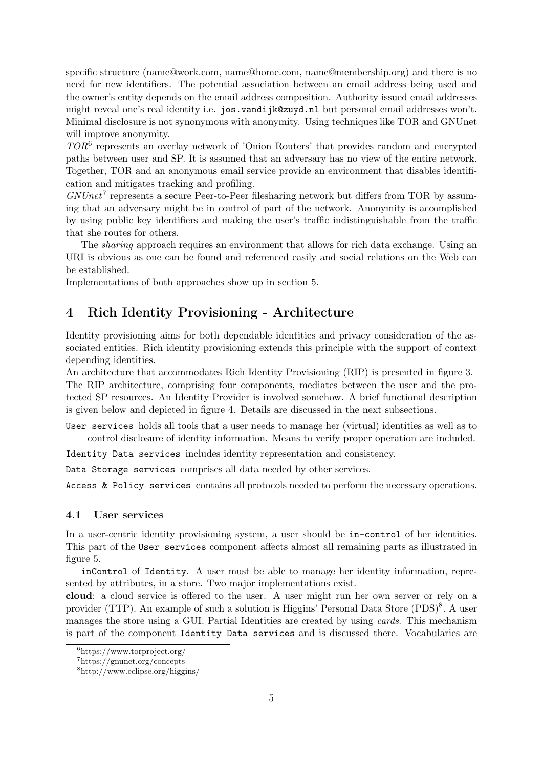specific structure (name@work.com, name@home.com, name@membership.org) and there is no need for new identifiers. The potential association between an email address being used and the owner's entity depends on the email address composition. Authority issued email addresses might reveal one's real identity i.e. jos.vandijk@zuyd.nl but personal email addresses won't. Minimal disclosure is not synonymous with anonymity. Using techniques like TOR and GNUnet will improve anonymity.

TOR<sup>6</sup> represents an overlay network of 'Onion Routers' that provides random and encrypted paths between user and SP. It is assumed that an adversary has no view of the entire network. Together, TOR and an anonymous email service provide an environment that disables identification and mitigates tracking and profiling.

 $GNUnet^7$  represents a secure Peer-to-Peer filesharing network but differs from TOR by assuming that an adversary might be in control of part of the network. Anonymity is accomplished by using public key identifiers and making the user's traffic indistinguishable from the traffic that she routes for others.

The *sharing* approach requires an environment that allows for rich data exchange. Using an URI is obvious as one can be found and referenced easily and social relations on the Web can be established.

Implementations of both approaches show up in section 5.

## 4 Rich Identity Provisioning - Architecture

Identity provisioning aims for both dependable identities and privacy consideration of the associated entities. Rich identity provisioning extends this principle with the support of context depending identities.

An architecture that accommodates Rich Identity Provisioning (RIP) is presented in figure 3. The RIP architecture, comprising four components, mediates between the user and the protected SP resources. An Identity Provider is involved somehow. A brief functional description is given below and depicted in figure 4. Details are discussed in the next subsections.

User services holds all tools that a user needs to manage her (virtual) identities as well as to control disclosure of identity information. Means to verify proper operation are included.

Identity Data services includes identity representation and consistency.

Data Storage services comprises all data needed by other services.

Access & Policy services contains all protocols needed to perform the necessary operations.

#### 4.1 User services

In a user-centric identity provisioning system, a user should be in-control of her identities. This part of the User services component affects almost all remaining parts as illustrated in figure 5.

inControl of Identity. A user must be able to manage her identity information, represented by attributes, in a store. Two major implementations exist.

cloud: a cloud service is offered to the user. A user might run her own server or rely on a provider (TTP). An example of such a solution is Higgins' Personal Data Store (PDS)<sup>8</sup>. A user manages the store using a GUI. Partial Identities are created by using cards. This mechanism is part of the component Identity Data services and is discussed there. Vocabularies are

 $6$ https://www.torproject.org/

<sup>7</sup>https://gnunet.org/concepts

<sup>8</sup>http://www.eclipse.org/higgins/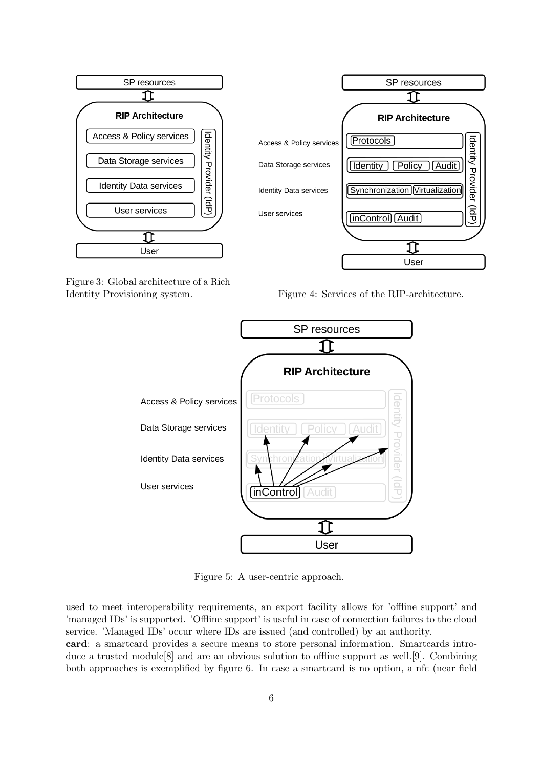

Figure 3: Global architecture of a Rich

Identity Provisioning system. Figure 4: Services of the RIP-architecture.



Figure 5: A user-centric approach.

used to meet interoperability requirements, an export facility allows for 'offline support' and 'managed IDs' is supported. 'Offline support' is useful in case of connection failures to the cloud service. 'Managed IDs' occur where IDs are issued (and controlled) by an authority.

card: a smartcard provides a secure means to store personal information. Smartcards introduce a trusted module[8] and are an obvious solution to offline support as well.[9]. Combining both approaches is exemplified by figure 6. In case a smartcard is no option, a nfc (near field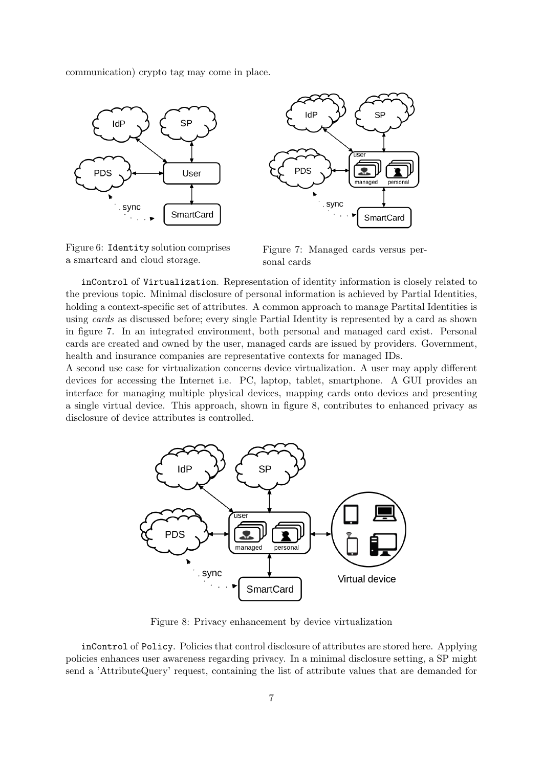communication) crypto tag may come in place.





Figure 6: Identity solution comprises a smartcard and cloud storage.

Figure 7: Managed cards versus personal cards

inControl of Virtualization. Representation of identity information is closely related to the previous topic. Minimal disclosure of personal information is achieved by Partial Identities, holding a context-specific set of attributes. A common approach to manage Partital Identities is using cards as discussed before; every single Partial Identity is represented by a card as shown in figure 7. In an integrated environment, both personal and managed card exist. Personal cards are created and owned by the user, managed cards are issued by providers. Government, health and insurance companies are representative contexts for managed IDs.

A second use case for virtualization concerns device virtualization. A user may apply different devices for accessing the Internet i.e. PC, laptop, tablet, smartphone. A GUI provides an interface for managing multiple physical devices, mapping cards onto devices and presenting a single virtual device. This approach, shown in figure 8, contributes to enhanced privacy as disclosure of device attributes is controlled.



Figure 8: Privacy enhancement by device virtualization

inControl of Policy. Policies that control disclosure of attributes are stored here. Applying policies enhances user awareness regarding privacy. In a minimal disclosure setting, a SP might send a 'AttributeQuery' request, containing the list of attribute values that are demanded for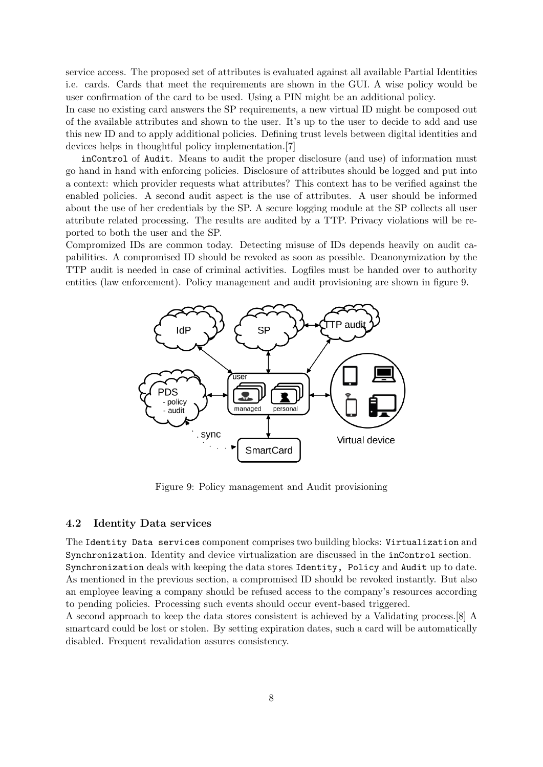service access. The proposed set of attributes is evaluated against all available Partial Identities i.e. cards. Cards that meet the requirements are shown in the GUI. A wise policy would be user confirmation of the card to be used. Using a PIN might be an additional policy.

In case no existing card answers the SP requirements, a new virtual ID might be composed out of the available attributes and shown to the user. It's up to the user to decide to add and use this new ID and to apply additional policies. Defining trust levels between digital identities and devices helps in thoughtful policy implementation.[7]

inControl of Audit. Means to audit the proper disclosure (and use) of information must go hand in hand with enforcing policies. Disclosure of attributes should be logged and put into a context: which provider requests what attributes? This context has to be verified against the enabled policies. A second audit aspect is the use of attributes. A user should be informed about the use of her credentials by the SP. A secure logging module at the SP collects all user attribute related processing. The results are audited by a TTP. Privacy violations will be reported to both the user and the SP.

Compromized IDs are common today. Detecting misuse of IDs depends heavily on audit capabilities. A compromised ID should be revoked as soon as possible. Deanonymization by the TTP audit is needed in case of criminal activities. Logfiles must be handed over to authority entities (law enforcement). Policy management and audit provisioning are shown in figure 9.



Figure 9: Policy management and Audit provisioning

#### 4.2 Identity Data services

The Identity Data services component comprises two building blocks: Virtualization and Synchronization. Identity and device virtualization are discussed in the inControl section. Synchronization deals with keeping the data stores Identity, Policy and Audit up to date. As mentioned in the previous section, a compromised ID should be revoked instantly. But also an employee leaving a company should be refused access to the company's resources according to pending policies. Processing such events should occur event-based triggered.

A second approach to keep the data stores consistent is achieved by a Validating process.[8] A smartcard could be lost or stolen. By setting expiration dates, such a card will be automatically disabled. Frequent revalidation assures consistency.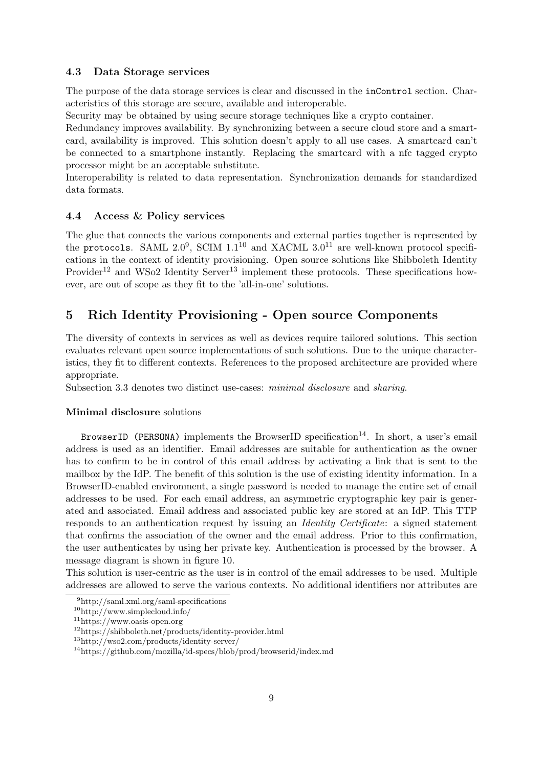#### 4.3 Data Storage services

The purpose of the data storage services is clear and discussed in the inControl section. Characteristics of this storage are secure, available and interoperable.

Security may be obtained by using secure storage techniques like a crypto container.

Redundancy improves availability. By synchronizing between a secure cloud store and a smartcard, availability is improved. This solution doesn't apply to all use cases. A smartcard can't be connected to a smartphone instantly. Replacing the smartcard with a nfc tagged crypto processor might be an acceptable substitute.

Interoperability is related to data representation. Synchronization demands for standardized data formats.

#### 4.4 Access & Policy services

The glue that connects the various components and external parties together is represented by the protocols. SAML 2.0<sup>9</sup>, SCIM 1.1<sup>10</sup> and XACML 3.0<sup>11</sup> are well-known protocol specifications in the context of identity provisioning. Open source solutions like Shibboleth Identity Provider<sup>12</sup> and WSo2 Identity Server<sup>13</sup> implement these protocols. These specifications however, are out of scope as they fit to the 'all-in-one' solutions.

## 5 Rich Identity Provisioning - Open source Components

The diversity of contexts in services as well as devices require tailored solutions. This section evaluates relevant open source implementations of such solutions. Due to the unique characteristics, they fit to different contexts. References to the proposed architecture are provided where appropriate.

Subsection 3.3 denotes two distinct use-cases: minimal disclosure and sharing.

#### Minimal disclosure solutions

BrowserID (PERSONA) implements the BrowserID specification<sup>14</sup>. In short, a user's email address is used as an identifier. Email addresses are suitable for authentication as the owner has to confirm to be in control of this email address by activating a link that is sent to the mailbox by the IdP. The benefit of this solution is the use of existing identity information. In a BrowserID-enabled environment, a single password is needed to manage the entire set of email addresses to be used. For each email address, an asymmetric cryptographic key pair is generated and associated. Email address and associated public key are stored at an IdP. This TTP responds to an authentication request by issuing an Identity Certificate: a signed statement that confirms the association of the owner and the email address. Prior to this confirmation, the user authenticates by using her private key. Authentication is processed by the browser. A message diagram is shown in figure 10.

This solution is user-centric as the user is in control of the email addresses to be used. Multiple addresses are allowed to serve the various contexts. No additional identifiers nor attributes are

<sup>9</sup>http://saml.xml.org/saml-specifications

<sup>10</sup>http://www.simplecloud.info/

<sup>11</sup>https://www.oasis-open.org

<sup>12</sup>https://shibboleth.net/products/identity-provider.html

<sup>13</sup>http://wso2.com/products/identity-server/

<sup>14</sup>https://github.com/mozilla/id-specs/blob/prod/browserid/index.md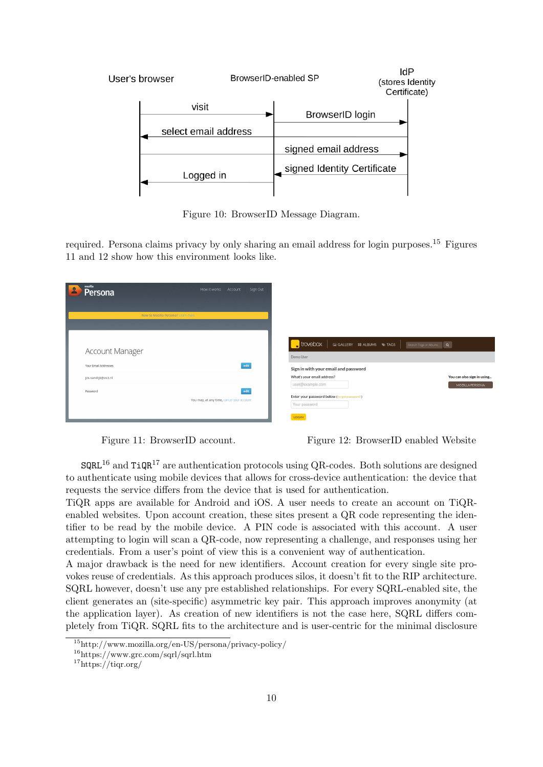

Figure 10: BrowserID Message Diagram.

required. Persona claims privacy by only sharing an email address for login purposes.<sup>15</sup> Figures 11 and 12 show how this environment looks like.

| mozilla<br>Δ<br>Persona                        | How it works Account<br>Sign Out                  |                                                                                        |                                                      |
|------------------------------------------------|---------------------------------------------------|----------------------------------------------------------------------------------------|------------------------------------------------------|
| New to Mozilla Persona? Learn more             |                                                   |                                                                                        |                                                      |
| <b>Account Manager</b><br>Your Email Addresses | edit                                              | $\sqrt{\frac{1}{2}}$ trovebox<br>GALLERY <b>III</b> ALBUMS TAGS<br>Demo User           | Search Tags or Albums Q                              |
| jos.vandijk@os3.nl                             |                                                   | Sign in with your email and password<br>What's your email address?<br>user@example.com | You can also sign in using<br><b>MOZILLA PERSONA</b> |
| Password                                       | edit<br>You may, at any time, cancel your account | Enter your password below (forgot password?)<br>Your password<br>LOGIN                 |                                                      |

Figure 11: BrowserID account. Figure 12: BrowserID enabled Website

 $SQRL^{16}$  and TiQR<sup>17</sup> are authentication protocols using QR-codes. Both solutions are designed to authenticate using mobile devices that allows for cross-device authentication: the device that requests the service differs from the device that is used for authentication.

TiQR apps are available for Android and iOS. A user needs to create an account on TiQRenabled websites. Upon account creation, these sites present a QR code representing the identifier to be read by the mobile device. A PIN code is associated with this account. A user attempting to login will scan a QR-code, now representing a challenge, and responses using her credentials. From a user's point of view this is a convenient way of authentication.

A major drawback is the need for new identifiers. Account creation for every single site provokes reuse of credentials. As this approach produces silos, it doesn't fit to the RIP architecture. SQRL however, doesn't use any pre established relationships. For every SQRL-enabled site, the client generates an (site-specific) asymmetric key pair. This approach improves anonymity (at the application layer). As creation of new identifiers is not the case here, SQRL differs completely from TiQR. SQRL fits to the architecture and is user-centric for the minimal disclosure

<sup>15</sup>http://www.mozilla.org/en-US/persona/privacy-policy/

<sup>16</sup>https://www.grc.com/sqrl/sqrl.htm

<sup>17</sup>https://tiqr.org/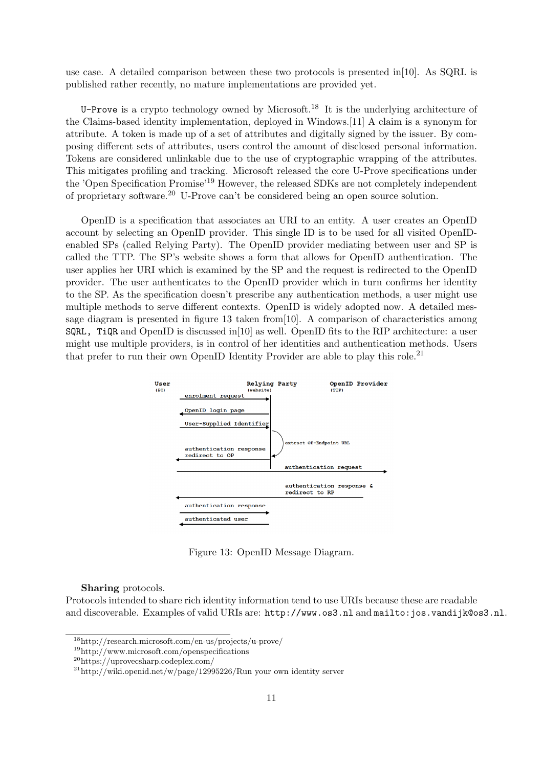use case. A detailed comparison between these two protocols is presented in[10]. As SQRL is published rather recently, no mature implementations are provided yet.

U-Prove is a crypto technology owned by Microsoft.<sup>18</sup> It is the underlying architecture of the Claims-based identity implementation, deployed in Windows.[11] A claim is a synonym for attribute. A token is made up of a set of attributes and digitally signed by the issuer. By composing different sets of attributes, users control the amount of disclosed personal information. Tokens are considered unlinkable due to the use of cryptographic wrapping of the attributes. This mitigates profiling and tracking. Microsoft released the core U-Prove specifications under the 'Open Specification Promise'<sup>19</sup> However, the released SDKs are not completely independent of proprietary software.<sup>20</sup> U-Prove can't be considered being an open source solution.

OpenID is a specification that associates an URI to an entity. A user creates an OpenID account by selecting an OpenID provider. This single ID is to be used for all visited OpenIDenabled SPs (called Relying Party). The OpenID provider mediating between user and SP is called the TTP. The SP's website shows a form that allows for OpenID authentication. The user applies her URI which is examined by the SP and the request is redirected to the OpenID provider. The user authenticates to the OpenID provider which in turn confirms her identity to the SP. As the specification doesn't prescribe any authentication methods, a user might use multiple methods to serve different contexts. OpenID is widely adopted now. A detailed message diagram is presented in figure 13 taken from[10]. A comparison of characteristics among  $SQRL$ , TiQR and OpenID is discussed in [10] as well. OpenID fits to the RIP architecture: a user might use multiple providers, is in control of her identities and authentication methods. Users that prefer to run their own OpenID Identity Provider are able to play this role.<sup>21</sup>



Figure 13: OpenID Message Diagram.

Sharing protocols.

Protocols intended to share rich identity information tend to use URIs because these are readable and discoverable. Examples of valid URIs are: http://www.os3.nl and mailto:jos.vandijk@os3.nl.

<sup>18</sup>http://research.microsoft.com/en-us/projects/u-prove/

<sup>19</sup>http://www.microsoft.com/openspecifications

<sup>20</sup>https://uprovecsharp.codeplex.com/

 $^{21}$ http://wiki.openid.net/w/page/12995226/Run your own identity server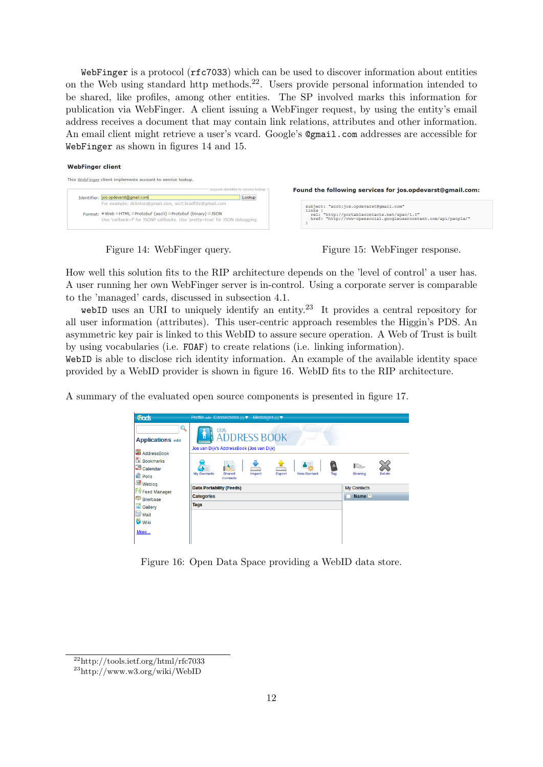WebFinger is a protocol (rfc7033) which can be used to discover information about entities on the Web using standard http methods.22. Users provide personal information intended to be shared, like profiles, among other entities. The SP involved marks this information for publication via WebFinger. A client issuing a WebFinger request, by using the entity's email address receives a document that may contain link relations, attributes and other information. An email client might retrieve a user's vcard. Google's @gmail.com addresses are accessible for WebFinger as shown in figures 14 and 15.

#### **WebFinger client**

| This WebFinger client implements account to service lookup.                                                                                                                                             |                                                                                                                                                                    |
|---------------------------------------------------------------------------------------------------------------------------------------------------------------------------------------------------------|--------------------------------------------------------------------------------------------------------------------------------------------------------------------|
| Account identifier to service lookup<br>Identifier:  jos.opdevarst@gmail.com<br>Lookup                                                                                                                  | Found the following services for jos.opdevarst@gmail.com:                                                                                                          |
| For example: dclinton@gmail.com, acct:bradfitz@gmail.com<br>Format: Web OHTML OProtobuf (ascii) OProtobuf (binary) OJSON<br>Use 'callback=f' for JSONP callbacks. Use 'pretty=true' for JSON debugging. | subject: "acct:jos.opdevarst@qmail.com"<br>links<br>rel: "http://portablecontacts.net/spec/1.0"<br>href: "http://www-opensocial.googleusercontent.com/api/people/" |



How well this solution fits to the RIP architecture depends on the 'level of control' a user has. A user running her own WebFinger server is in-control. Using a corporate server is comparable to the 'managed' cards, discussed in subsection 4.1.

webID uses an URI to uniquely identify an entity.<sup>23</sup> It provides a central repository for all user information (attributes). This user-centric approach resembles the Higgin's PDS. An asymmetric key pair is linked to this WebID to assure secure operation. A Web of Trust is built by using vocabularies (i.e. FOAF) to create relations (i.e. linking information).

WebID is able to disclose rich identity information. An example of the available identity space provided by a WebID provider is shown in figure 16. WebID fits to the RIP architecture.

A summary of the evaluated open source components is presented in figure 17.

| <b>Cods</b>                                                                       | Profile edit Connections (o) ▼ Messages (o) ▼                                                                                                           |                                                |  |
|-----------------------------------------------------------------------------------|---------------------------------------------------------------------------------------------------------------------------------------------------------|------------------------------------------------|--|
| $\mathbf{Q}$<br><b>Applications edit</b><br>AddressBook<br><b>A</b> Bookmarks     | <b>ODS</b><br><b>ADDRESS BOOK</b><br>'n<br>Jos van Dijk's AddressBook (Jos van Dijk)                                                                    |                                                |  |
| $\frac{12}{12}$ Calendar<br>$\rightharpoonup$ Polls<br>Weblog<br>FI) Feed Manager | --<br>Shared<br><b>My Contacts</b><br><b>Import</b><br><b>Export</b><br><b>New Contact</b><br>Tag<br><b>Contacts</b><br><b>Data Portability (Feeds)</b> | Sharing<br><b>Delete</b><br><b>My Contacts</b> |  |
| <b>Briefcase</b>                                                                  | <b>Categories</b>                                                                                                                                       | Name <b>A</b>                                  |  |
| <b>Callery</b>                                                                    | <b>Tags</b>                                                                                                                                             |                                                |  |
| Mail<br><b>Wiki</b><br>More                                                       |                                                                                                                                                         |                                                |  |

Figure 16: Open Data Space providing a WebID data store.

 $^{22}$ http://tools.ietf.org/html/rfc7033

<sup>23</sup>http://www.w3.org/wiki/WebID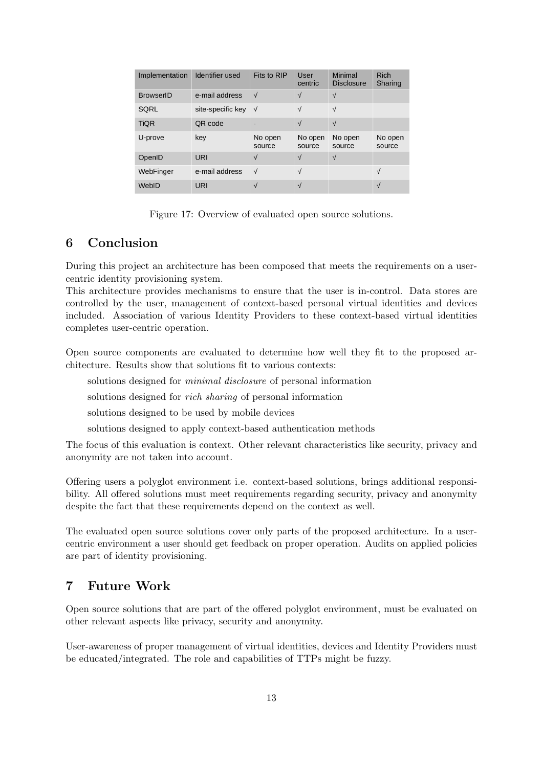| Implementation   | Identifier used   | Fits to RIP       | User<br>centric   | Minimal<br><b>Disclosure</b> | Rich<br>Sharing   |
|------------------|-------------------|-------------------|-------------------|------------------------------|-------------------|
| <b>BrowserID</b> | e-mail address    | $\sqrt{}$         | $\sqrt{ }$        | $\sqrt{ }$                   |                   |
| <b>SORL</b>      | site-specific key | $\sqrt{ }$        | $\sqrt{}$         | $\sqrt{ }$                   |                   |
| <b>TiQR</b>      | QR code           |                   | $\sqrt{ }$        | $\sqrt{ }$                   |                   |
| U-prove          | key               | No open<br>source | No open<br>source | No open<br>source            | No open<br>source |
| OpenID           | URI               | $\sqrt{}$         | $\sqrt{}$         | $\sqrt{}$                    |                   |
| WebFinger        | e-mail address    | $\sqrt{ }$        | $\sqrt{}$         |                              | $\sqrt{}$         |
| WebID            | URI               | $\sqrt{}$         | $\sqrt{ }$        |                              | $\sqrt{}$         |

Figure 17: Overview of evaluated open source solutions.

## 6 Conclusion

During this project an architecture has been composed that meets the requirements on a usercentric identity provisioning system.

This architecture provides mechanisms to ensure that the user is in-control. Data stores are controlled by the user, management of context-based personal virtual identities and devices included. Association of various Identity Providers to these context-based virtual identities completes user-centric operation.

Open source components are evaluated to determine how well they fit to the proposed architecture. Results show that solutions fit to various contexts:

solutions designed for minimal disclosure of personal information

solutions designed for rich sharing of personal information

solutions designed to be used by mobile devices

solutions designed to apply context-based authentication methods

The focus of this evaluation is context. Other relevant characteristics like security, privacy and anonymity are not taken into account.

Offering users a polyglot environment i.e. context-based solutions, brings additional responsibility. All offered solutions must meet requirements regarding security, privacy and anonymity despite the fact that these requirements depend on the context as well.

The evaluated open source solutions cover only parts of the proposed architecture. In a usercentric environment a user should get feedback on proper operation. Audits on applied policies are part of identity provisioning.

## 7 Future Work

Open source solutions that are part of the offered polyglot environment, must be evaluated on other relevant aspects like privacy, security and anonymity.

User-awareness of proper management of virtual identities, devices and Identity Providers must be educated/integrated. The role and capabilities of TTPs might be fuzzy.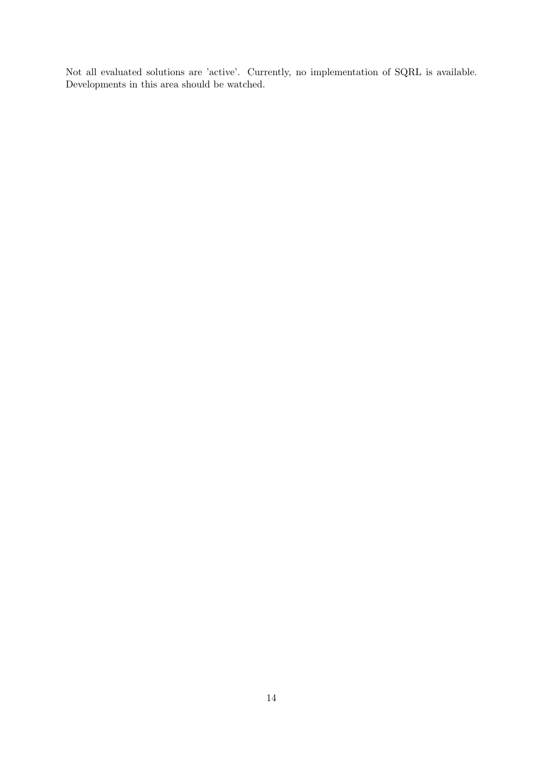Not all evaluated solutions are 'active'. Currently, no implementation of SQRL is available. Developments in this area should be watched.